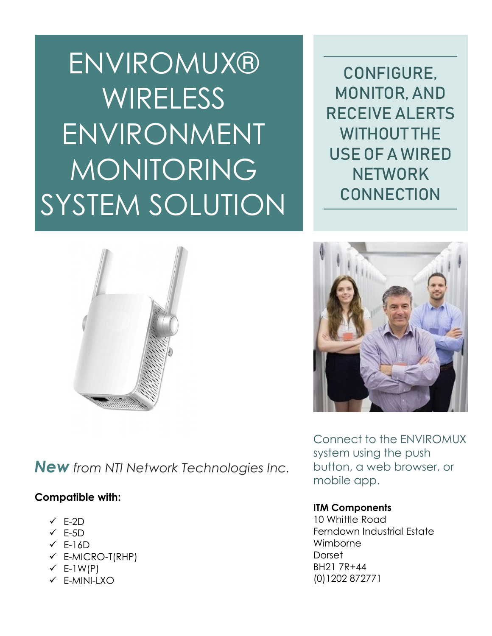ENVIROMUX® **WIRELESS** ENVIRONMENT MONITORING SYSTEM SOLUTION

CONFIGURE, MONITOR, AND RECEIVE ALERTS WITHOUT THE USE OF A WIRED **NETWORK CONNECTION** 



*New from NTI Network Technologies Inc.*

## **Compatible with:**

- $\checkmark$  E-2D
- $\checkmark$  E-5D
- $\checkmark$  F-16D
- $\checkmark$  E-MICRO-T(RHP)
- $\checkmark$  E-1W(P)
- $\checkmark$  F-MINI-LXO



Connect to the ENVIROMUX system using the push button, a web browser, or mobile app.

## **ITM Components**

10 Whittle Road Ferndown Industrial Estate Wimborne **Dorset** BH21 7R+44 (0)1202 872771